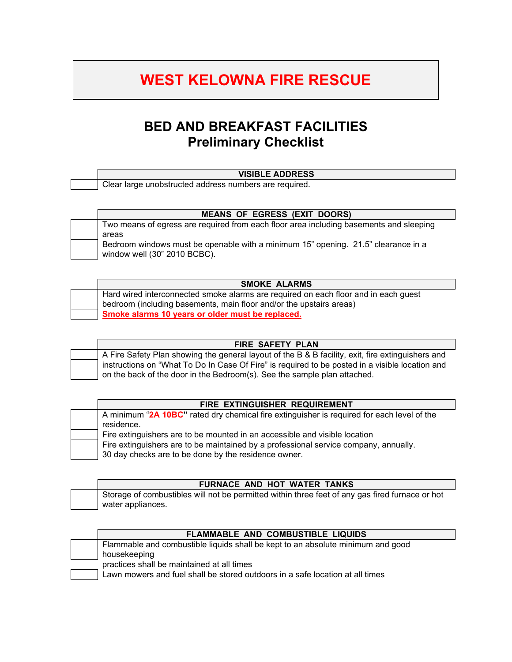## **WEST KELOWNA FIRE RESCUE**

## **BED AND BREAKFAST FACILITIES Preliminary Checklist**

## **VISIBLE ADDRESS**

Clear large unobstructed address numbers are required.

| <b>MEANS OF EGRESS (EXIT DOORS)</b>                                                    |
|----------------------------------------------------------------------------------------|
| Two means of egress are required from each floor area including basements and sleeping |
| areas                                                                                  |
| Bedroom windows must be openable with a minimum 15" opening. 21.5" clearance in a      |
| window well (30" 2010 BCBC).                                                           |

| <b>SMOKE ALARMS</b>                                                                 |
|-------------------------------------------------------------------------------------|
| Hard wired interconnected smoke alarms are required on each floor and in each guest |
| bedroom (including basements, main floor and/or the upstairs areas)                 |
| Smoke alarms 10 years or older must be replaced.                                    |

| <b>FIRE SAFETY PLAN</b>                                                                                                                                                     |
|-----------------------------------------------------------------------------------------------------------------------------------------------------------------------------|
| A Fire Safety Plan showing the general layout of the B & B facility, exit, fire extinguishers and                                                                           |
| instructions on "What To Do In Case Of Fire" is required to be posted in a visible location and<br>on the back of the door in the Bedroom(s). See the sample plan attached. |

| FIRE EXTINGUISHER REQUIREMENT                                                              |
|--------------------------------------------------------------------------------------------|
| A minimum "2A 10BC" rated dry chemical fire extinguisher is required for each level of the |
| residence.                                                                                 |
| Fire extinguishers are to be mounted in an accessible and visible location                 |
| Fire extinguishers are to be maintained by a professional service company, annually.       |
| 30 day checks are to be done by the residence owner.                                       |

| FURNACE AND HOT WATER TANKS                                                                     |
|-------------------------------------------------------------------------------------------------|
| Storage of combustibles will not be permitted within three feet of any gas fired furnace or hot |
| water appliances.                                                                               |

| <b>FLAMMABLE AND COMBUSTIBLE LIQUIDS</b>                                        |
|---------------------------------------------------------------------------------|
| Flammable and combustible liquids shall be kept to an absolute minimum and good |
| housekeeping                                                                    |
| practices shall be maintained at all times                                      |
| Lawn mowers and fuel shall be stored outdoors in a safe location at all times   |